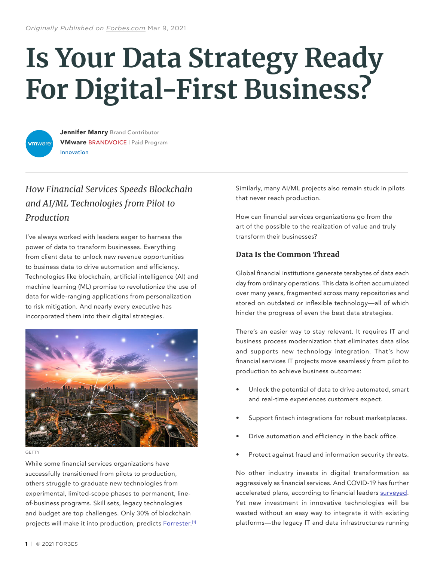# **Is Your Data Strategy Ready For Digital-First Business?**



Jennifer Manry Brand Contributor VMware BRANDVOICE | Paid Program Innovation

# *How Financial Services Speeds Blockchain and AI/ML Technologies from Pilot to Production*

I've always worked with leaders eager to harness the power of data to transform businesses. Everything from client data to unlock new revenue opportunities to business data to drive automation and efficiency. Technologies like blockchain, artificial intelligence (AI) and machine learning (ML) promise to revolutionize the use of data for wide-ranging applications from personalization to risk mitigation. And nearly every executive has incorporated them into their digital strategies.



#### $GET$

While some financial services organizations have successfully transitioned from pilots to production, others struggle to graduate new technologies from experimental, limited-scope phases to permanent, lineof-business programs. Skill sets, legacy technologies and budget are top challenges. Only 30% of blockchain projects will make it into production, predicts <u>Forrester</u>.<sup>[1]</sup> Similarly, many AI/ML projects also remain stuck in pilots that never reach production.

How can financial services organizations go from the art of the possible to the realization of value and truly transform their businesses?

#### Data Is the Common Thread

Global financial institutions generate terabytes of data each day from ordinary operations. This data is often accumulated over many years, fragmented across many repositories and stored on outdated or inflexible technology—all of which hinder the progress of even the best data strategies.

There's an easier way to stay relevant. It requires IT and business process modernization that eliminates data silos and supports new technology integration. That's how financial services IT projects move seamlessly from pilot to production to achieve business outcomes:

- Unlock the potential of data to drive automated, smart and real-time experiences customers expect.
- Support fintech integrations for robust marketplaces.
- Drive automation and efficiency in the back office.
- Protect against fraud and information security threats.

No other industry invests in digital transformation as aggressively as financial services. And COVID-19 has further accelerated plans, according to financial leaders [surveyed](https://blogs.vmware.com/industry-solutions/2020/12/15/mit-technology-review-impact-of-digital-investments-on-financial-services-organizations-throughout-pandemic/). Yet new investment in innovative technologies will be wasted without an easy way to integrate it with existing platforms—the legacy IT and data infrastructures running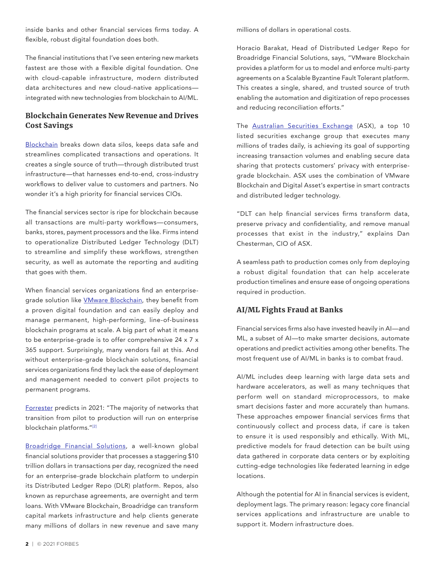inside banks and other financial services firms today. A flexible, robust digital foundation does both.

The financial institutions that I've seen entering new markets fastest are those with a flexible digital foundation. One with cloud-capable infrastructure, modern distributed data architectures and new cloud-native applications integrated with new technologies from blockchain to AI/ML.

## Blockchain Generates New Revenue and Drives Cost Savings

[Blockchain](https://www.vmware.com/radius/what-is-blockchain-business/) breaks down data silos, keeps data safe and streamlines complicated transactions and operations. It creates a single source of truth—through distributed trust infrastructure—that harnesses end-to-end, cross-industry workflows to deliver value to customers and partners. No wonder it's a high priority for financial services CIOs.

The financial services sector is ripe for blockchain because all transactions are multi-party workflows—consumers, banks, stores, payment processors and the like. Firms intend to operationalize Distributed Ledger Technology (DLT) to streamline and simplify these workflows, strengthen security, as well as automate the reporting and auditing that goes with them.

When financial services organizations find an enterprisegrade solution like *[VMware Blockchain](https://www.vmware.com/products/blockchain.html)*, they benefit from a proven digital foundation and can easily deploy and manage permanent, high-performing, line-of-business blockchain programs at scale. A big part of what it means to be enterprise-grade is to offer comprehensive 24 x 7 x 365 support. Surprisingly, many vendors fail at this. And without enterprise-grade blockchain solutions, financial services organizations find they lack the ease of deployment and management needed to convert pilot projects to permanent programs.

[Forrester](https://go.forrester.com/blogs/predictions-2021-blockchain-is-a-tale-of-two-speeds/) predicts in 2021: "The majority of networks that transition from pilot to production will run on enterprise blockchain platforms."[2]

[Broadridge Financial Solutions,](https://www.broadridge.com/financial-services/capital-markets/transform-trade-life-cycle/dlt-repo?id=GTOSPS19nv5dcad8630348a88ecfadd4e3a5d2dc95&so=se&po=&di=&ct=&ot=pp&mt=ja&yr=20&rg=us&on=01&ep=pd&gclid=CjwKCAjw19z6BRAYEiwAmo64LYZZk3Oh47gDCyMpAvpoFsCW5i-tk4nynUH8RHhr_eJONtmlhjAOqhoCTkIQAvD_BwE) a well-known global financial solutions provider that processes a staggering \$10 trillion dollars in transactions per day, recognized the need for an enterprise-grade blockchain platform to underpin its Distributed Ledger Repo (DLR) platform. Repos, also known as repurchase agreements, are overnight and term loans. With VMware Blockchain, Broadridge can transform capital markets infrastructure and help clients generate many millions of dollars in new revenue and save many

millions of dollars in operational costs.

Horacio Barakat, Head of Distributed Ledger Repo for Broadridge Financial Solutions, says, "VMware Blockchain provides a platform for us to model and enforce multi-party agreements on a Scalable Byzantine Fault Tolerant platform. This creates a single, shared, and trusted source of truth enabling the automation and digitization of repo processes and reducing reconciliation efforts."

The [Australian Securities Exchange](https://www.youtube.com/watch?v=9yrQYwn519w) (ASX), a top 10 listed securities exchange group that executes many millions of trades daily, is achieving its goal of supporting increasing transaction volumes and enabling secure data sharing that protects customers' privacy with enterprisegrade blockchain. ASX uses the combination of VMware Blockchain and Digital Asset's expertise in smart contracts and distributed ledger technology.

"DLT can help financial services firms transform data, preserve privacy and confidentiality, and remove manual processes that exist in the industry," explains Dan Chesterman, CIO of ASX.

A seamless path to production comes only from deploying a robust digital foundation that can help accelerate production timelines and ensure ease of ongoing operations required in production.

## AI/ML Fights Fraud at Banks

Financial services firms also have invested heavily in AI—and ML, a subset of AI—to make smarter decisions, automate operations and predict activities among other benefits. The most frequent use of AI/ML in banks is to combat fraud.

AI/ML includes deep learning with large data sets and hardware accelerators, as well as many techniques that perform well on standard microprocessors, to make smart decisions faster and more accurately than humans. These approaches empower financial services firms that continuously collect and process data, if care is taken to ensure it is used responsibly and ethically. With ML, predictive models for fraud detection can be built using data gathered in corporate data centers or by exploiting cutting-edge technologies like federated learning in edge locations.

Although the potential for AI in financial services is evident, deployment lags. The primary reason: legacy core financial services applications and infrastructure are unable to support it. Modern infrastructure does.